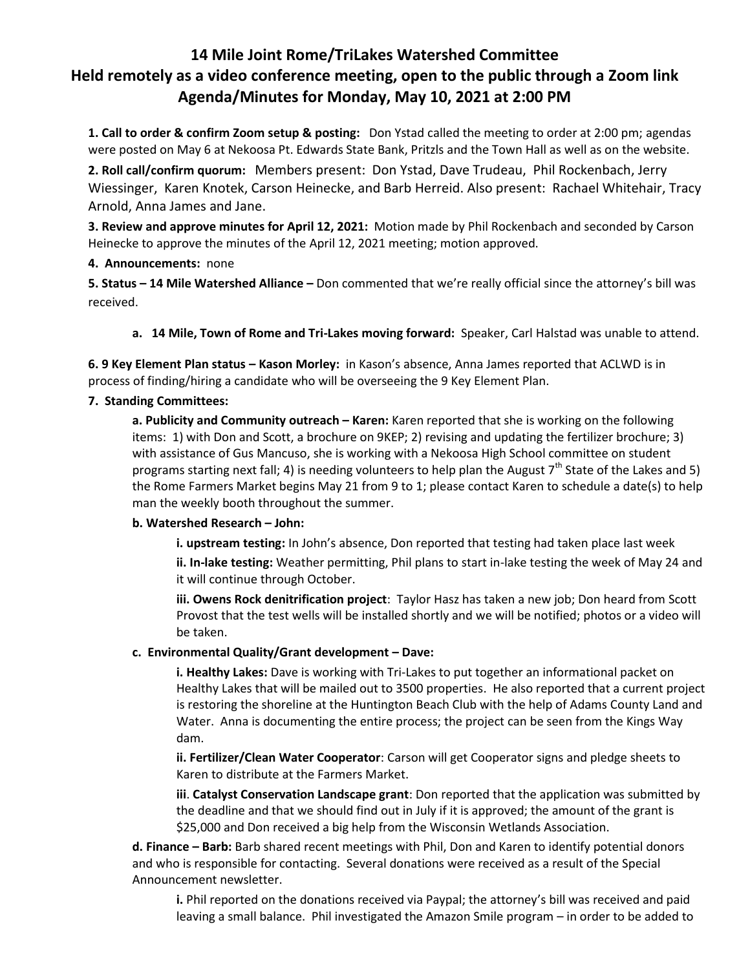# **14 Mile Joint Rome/TriLakes Watershed Committee Held remotely as a video conference meeting, open to the public through a Zoom link Agenda/Minutes for Monday, May 10, 2021 at 2:00 PM**

**1. Call to order & confirm Zoom setup & posting:** Don Ystad called the meeting to order at 2:00 pm; agendas were posted on May 6 at Nekoosa Pt. Edwards State Bank, Pritzls and the Town Hall as well as on the website.

**2. Roll call/confirm quorum:** Members present: Don Ystad, Dave Trudeau, Phil Rockenbach, Jerry Wiessinger, Karen Knotek, Carson Heinecke, and Barb Herreid. Also present: Rachael Whitehair, Tracy Arnold, Anna James and Jane.

**3. Review and approve minutes for April 12, 2021:** Motion made by Phil Rockenbach and seconded by Carson Heinecke to approve the minutes of the April 12, 2021 meeting; motion approved.

#### **4. Announcements:** none

**5. Status – 14 Mile Watershed Alliance –** Don commented that we're really official since the attorney's bill was received.

**a. 14 Mile, Town of Rome and Tri-Lakes moving forward:** Speaker, Carl Halstad was unable to attend.

**6. 9 Key Element Plan status – Kason Morley:** in Kason's absence, Anna James reported that ACLWD is in process of finding/hiring a candidate who will be overseeing the 9 Key Element Plan.

## **7. Standing Committees:**

**a. Publicity and Community outreach – Karen:** Karen reported that she is working on the following items: 1) with Don and Scott, a brochure on 9KEP; 2) revising and updating the fertilizer brochure; 3) with assistance of Gus Mancuso, she is working with a Nekoosa High School committee on student programs starting next fall; 4) is needing volunteers to help plan the August  $7<sup>th</sup>$  State of the Lakes and 5) the Rome Farmers Market begins May 21 from 9 to 1; please contact Karen to schedule a date(s) to help man the weekly booth throughout the summer.

#### **b. Watershed Research – John:**

**i. upstream testing:** In John's absence, Don reported that testing had taken place last week

**ii. In-lake testing:** Weather permitting, Phil plans to start in-lake testing the week of May 24 and it will continue through October.

**iii. Owens Rock denitrification project**: Taylor Hasz has taken a new job; Don heard from Scott Provost that the test wells will be installed shortly and we will be notified; photos or a video will be taken.

# **c. Environmental Quality/Grant development – Dave:**

**i. Healthy Lakes:** Dave is working with Tri-Lakes to put together an informational packet on Healthy Lakes that will be mailed out to 3500 properties. He also reported that a current project is restoring the shoreline at the Huntington Beach Club with the help of Adams County Land and Water. Anna is documenting the entire process; the project can be seen from the Kings Way dam.

**ii. Fertilizer/Clean Water Cooperator**: Carson will get Cooperator signs and pledge sheets to Karen to distribute at the Farmers Market.

**iii**. **Catalyst Conservation Landscape grant**: Don reported that the application was submitted by the deadline and that we should find out in July if it is approved; the amount of the grant is \$25,000 and Don received a big help from the Wisconsin Wetlands Association.

**d. Finance – Barb:** Barb shared recent meetings with Phil, Don and Karen to identify potential donors and who is responsible for contacting. Several donations were received as a result of the Special Announcement newsletter.

**i.** Phil reported on the donations received via Paypal; the attorney's bill was received and paid leaving a small balance. Phil investigated the Amazon Smile program – in order to be added to